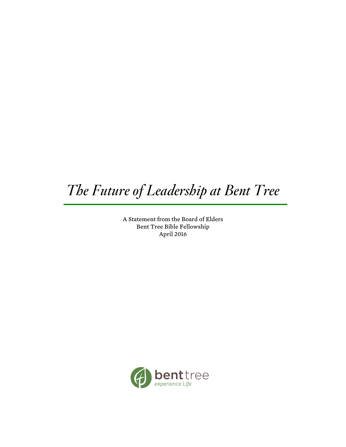# *The Future of Leadership at Bent Tree*

A Statement from the Board of Elders Bent Tree Bible Fellowship April 2016

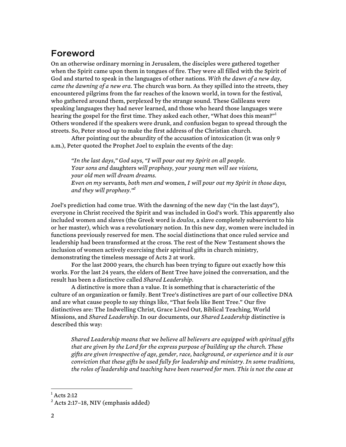## Foreword

On an otherwise ordinary morning in Jerusalem, the disciples were gathered together when the Spirit came upon them in tongues of fire. They were all filled with the Spirit of God and started to speak in the languages of other nations. *With the dawn of a new day, came the dawning of a new era.* The church was born. As they spilled into the streets, they encountered pilgrims from the far reaches of the known world, in town for the festival, who gathered around them, perplexed by the strange sound. These Galileans were speaking languages they had never learned, and those who heard those languages were hearing the gospel for the first time. They asked each other, "What does this mean?"<sup>1</sup> Others wondered if the speakers were drunk, and confusion began to spread through the streets. So, Peter stood up to make the first address of the Christian church.

After pointing out the absurdity of the accusation of intoxication (it was only 9 a.m.), Peter quoted the Prophet Joel to explain the events of the day:

*"In the last days," God says, "I will pour out my Spirit on all people. Your sons and* daughters *will prophesy, your young men will see visions, your old men will dream dreams. Even on my* servants*, both men and* women*, I will pour out my Spirit in those days, and they will prophesy." 2*

Joel's prediction had come true. With the dawning of the new day ("in the last days"), everyone in Christ received the Spirit and was included in God's work. This apparently also included women and slaves (the Greek word is *doulos*, a slave completely subservient to his or her master), which was a revolutionary notion. In this new day, women were included in functions previously reserved for men. The social distinctions that once ruled service and leadership had been transformed at the cross. The rest of the New Testament shows the inclusion of women actively exercising their spiritual gifts in church ministry, demonstrating the timeless message of Acts 2 at work.

For the last 2000 years, the church has been trying to figure out exactly how this works. For the last 24 years, the elders of Bent Tree have joined the conversation, and the result has been a distinctive called *Shared Leadership.*

A distinctive is more than a value. It is something that is characteristic of the culture of an organization or family. Bent Tree's distinctives are part of our collective DNA and are what cause people to say things like, "That feels like Bent Tree." Our five distinctives are: The Indwelling Christ, Grace Lived Out, Biblical Teaching, World Missions, and *Shared Leadership*. In our documents, our *Shared Leadership* distinctive is described this way:

*Shared Leadership means that we believe all believers are equipped with spiritual gifts that are given by the Lord for the express purpose of building up the church. These gifts are given irrespective of age, gender, race, background, or experience and it is our conviction that these gifts be used fully for leadership and ministry. In some traditions, the roles of leadership and teaching have been reserved for men. This is not the case at* 

 $<sup>1</sup>$  Acts 2:12</sup>

 $2$  Acts 2:17-18, NIV (emphasis added)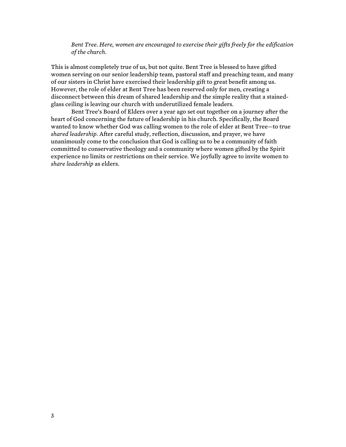*Bent Tree. Here, women are encouraged to exercise their gifts freely for the edification of the church.* 

This is almost completely true of us, but not quite. Bent Tree is blessed to have gifted women serving on our senior leadership team, pastoral staff and preaching team, and many of our sisters in Christ have exercised their leadership gift to great benefit among us. However, the role of elder at Bent Tree has been reserved only for men, creating a disconnect between this dream of shared leadership and the simple reality that a stainedglass ceiling is leaving our church with underutilized female leaders.

Bent Tree's Board of Elders over a year ago set out together on a journey after the heart of God concerning the future of leadership in his church. Specifically, the Board wanted to know whether God was calling women to the role of elder at Bent Tree—to true *shared leadership*. After careful study, reflection, discussion, and prayer, we have unanimously come to the conclusion that God is calling us to be a community of faith committed to conservative theology and a community where women gifted by the Spirit experience no limits or restrictions on their service. We joyfully agree to invite women to *share leadership* as elders.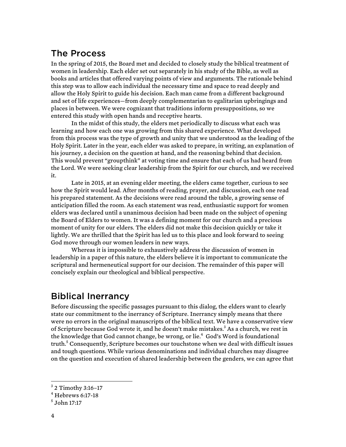# The Process

In the spring of 2015, the Board met and decided to closely study the biblical treatment of women in leadership. Each elder set out separately in his study of the Bible, as well as books and articles that offered varying points of view and arguments. The rationale behind this step was to allow each individual the necessary time and space to read deeply and allow the Holy Spirit to guide his decision. Each man came from a different background and set of life experiences—from deeply complementarian to egalitarian upbringings and places in between. We were cognizant that traditions inform presuppositions, so we entered this study with open hands and receptive hearts.

In the midst of this study, the elders met periodically to discuss what each was learning and how each one was growing from this shared experience. What developed from this process was the type of growth and unity that we understood as the leading of the Holy Spirit. Later in the year, each elder was asked to prepare, in writing, an explanation of his journey, a decision on the question at hand, and the reasoning behind that decision. This would prevent "groupthink" at voting time and ensure that each of us had heard from the Lord. We were seeking clear leadership from the Spirit for our church, and we received it.

Late in 2015, at an evening elder meeting, the elders came together, curious to see how the Spirit would lead. After months of reading, prayer, and discussion, each one read his prepared statement. As the decisions were read around the table, a growing sense of anticipation filled the room. As each statement was read, enthusiastic support for women elders was declared until a unanimous decision had been made on the subject of opening the Board of Elders to women. It was a defining moment for our church and a precious moment of unity for our elders. The elders did not make this decision quickly or take it lightly. We are thrilled that the Spirit has led us to this place and look forward to seeing God move through our women leaders in new ways.

Whereas it is impossible to exhaustively address the discussion of women in leadership in a paper of this nature, the elders believe it is important to communicate the scriptural and hermeneutical support for our decision. The remainder of this paper will concisely explain our theological and biblical perspective.

# Biblical Inerrancy

Before discussing the specific passages pursuant to this dialog, the elders want to clearly state our commitment to the inerrancy of Scripture. Inerrancy simply means that there were no errors in the original manuscripts of the biblical text. We have a conservative view of Scripture because God wrote it, and he doesn't make mistakes.<sup>3</sup> As a church, we rest in the knowledge that God cannot change, be wrong, or lie.<sup>4</sup> God's Word is foundational truth.<sup>5</sup> Consequently, Scripture becomes our touchstone when we deal with difficult issues and tough questions. While various denominations and individual churches may disagree on the question and execution of shared leadership between the genders, we can agree that

 $3$  2 Timothy 3:16-17

 $4$  Hebrews 6:17-18

 $<sup>5</sup>$  John 17:17</sup>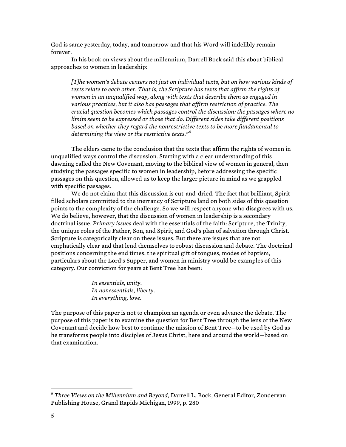God is same yesterday, today, and tomorrow and that his Word will indelibly remain forever.

In his book on views about the millennium, Darrell Bock said this about biblical approaches to women in leadership:

*[T]he women's debate centers not just on individual texts, but on how various kinds of texts relate to each other. That is, the Scripture has texts that affirm the rights of women in an unqualified way, along with texts that describe them as engaged in various practices, but it also has passages that affirm restriction of practice. The crucial question becomes which passages control the discussion: the passages where no limits seem to be expressed or those that do. Different sides take different positions based on whether they regard the nonrestrictive texts to be more fundamental to determining the view or the restrictive texts."*<sup>6</sup>

The elders came to the conclusion that the texts that affirm the rights of women in unqualified ways control the discussion. Starting with a clear understanding of this dawning called the New Covenant, moving to the biblical view of women in general, then studying the passages specific to women in leadership, before addressing the specific passages on this question, allowed us to keep the larger picture in mind as we grappled with specific passages.

We do not claim that this discussion is cut-and-dried. The fact that brilliant, Spiritfilled scholars committed to the inerrancy of Scripture land on both sides of this question points to the complexity of the challenge. So we will respect anyone who disagrees with us. We do believe, however, that the discussion of women in leadership is a secondary doctrinal issue. *Primary issues* deal with the essentials of the faith: Scripture, the Trinity, the unique roles of the Father, Son, and Spirit, and God's plan of salvation through Christ. Scripture is categorically clear on these issues. But there are issues that are not emphatically clear and that lend themselves to robust discussion and debate. The doctrinal positions concerning the end times, the spiritual gift of tongues, modes of baptism, particulars about the Lord's Supper, and women in ministry would be examples of this category. Our conviction for years at Bent Tree has been:

> *In essentials, unity. In nonessentials, liberty. In everything, love.*

The purpose of this paper is not to champion an agenda or even advance the debate. The purpose of this paper is to examine the question for Bent Tree through the lens of the New Covenant and decide how best to continue the mission of Bent Tree—to be used by God as he transforms people into disciples of Jesus Christ, here and around the world—based on that examination.

 <sup>6</sup> *Three Views on the Millennium and Beyond,* Darrell L. Bock, General Editor, Zondervan Publishing House, Grand Rapids Michigan, 1999, p. 280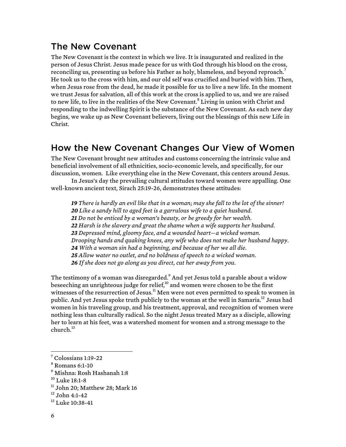# The New Covenant

The New Covenant is the context in which we live. It is inaugurated and realized in the person of Jesus Christ. Jesus made peace for us with God through his blood on the cross, reconciling us, presenting us before his Father as holy, blameless, and beyond reproach.<sup>7</sup> He took us to the cross with him, and our old self was crucified and buried with him. Then, when Jesus rose from the dead, he made it possible for us to live a new life. In the moment we trust Jesus for salvation, all of this work at the cross is applied to us, and we are raised to new life, to live in the realities of the New Covenant.<sup>8</sup> Living in union with Christ and responding to the indwelling Spirit is the substance of the New Covenant. As each new day begins, we wake up as New Covenant believers, living out the blessings of this new Life in Christ.

# How the New Covenant Changes Our View of Women

The New Covenant brought new attitudes and customs concerning the intrinsic value and beneficial involvement of all ethnicities, socio-economic levels, and specifically, for our discussion, women. Like everything else in the New Covenant, this centers around Jesus.

In Jesus's day the prevailing cultural attitudes toward women were appalling. One well-known ancient text, Sirach 25:19-26, demonstrates these attitudes:

 *There is hardly an evil like that in a woman; may she fall to the lot of the sinner! Like a sandy hill to aged feet is a garrulous wife to a quiet husband. Do not be enticed by a woman's beauty, or be greedy for her wealth. Harsh is the slavery and great the shame when a wife supports her husband. Depressed mind, gloomy face, and a wounded heart—a wicked woman. Drooping hands and quaking knees, any wife who does not make her husband happy. With a woman sin had a beginning, and because of her we all die. Allow water no outlet, and no boldness of speech to a wicked woman. If she does not go along as you direct, cut her away from you.*

The testimony of a woman was disregarded.<sup>9</sup> And yet Jesus told a parable about a widow beseeching an unrighteous judge for relief, $10$  and women were chosen to be the first witnesses of the resurrection of Jesus.<sup>11</sup> Men were not even permitted to speak to women in public. And yet Jesus spoke truth publicly to the woman at the well in Samaria.<sup>12</sup> Jesus had women in his traveling group, and his treatment, approval, and recognition of women were nothing less than culturally radical. So the night Jesus treated Mary as a disciple, allowing her to learn at his feet, was a watershed moment for women and a strong message to the church.<sup>13</sup>

 $^7$  Colossians 1:19-22<br> $^8$  Romans 6:1-10

<sup>9</sup> Mishna: Rosh Hashanah 1:8

 $10$  Luke 18:1-8

 $11$  John 20; Matthew 28; Mark 16

 $12$  John 4:1-42

 $^{13}$  Luke 10:38-41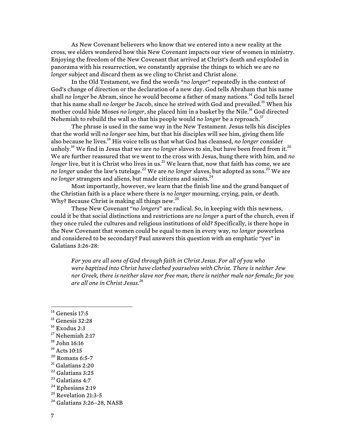As New Covenant believers who know that we entered into a new reality at the cross, we elders wondered how this New Covenant impacts our view of women in ministry. Enjoying the freedom of the New Covenant that arrived at Christ's death and exploded in panorama with his resurrection, we constantly appraise the things to which we are *no longer* subject and discard them as we cling to Christ and Christ alone.

In the Old Testament, we find the words "*no longer*" repeatedly in the context of God's change of direction or the declaration of a new day. God tells Abraham that his name shall *no longer* be Abram, since he would become a father of many nations.<sup>14</sup> God tells Israel that his name shall *no longer* be Jacob, since he strived with God and prevailed.<sup>15</sup> When his mother could hide Moses *no longer*, she placed him in a basket by the Nile.<sup>16</sup> God directed Nehemiah to rebuild the wall so that his people would *no longer* be a reproach.<sup>17</sup>

The phrase is used in the same way in the New Testament. Jesus tells his disciples that the world will *no longer* see him, but that his disciples will see him, giving them life also because he lives.18 His voice tells us that what God has cleansed, *no longer* consider unholy.<sup>19</sup> We find in Jesus that we are *no longer* slaves to sin, but have been freed from it.<sup>20</sup> We are further reassured that we went to the cross with Jesus, hung there with him, and *no longer* live, but it is Christ who lives in us.<sup>21</sup> We learn that, now that faith has come, we are *no longer* under the law's tutelage.<sup>22</sup> We are *no longer* slaves, but adopted as sons.<sup>23</sup> We are *no longer* strangers and aliens, but made citizens and saints.<sup>24</sup>

Most importantly, however, we learn that the finish line and the grand banquet of the Christian faith is a place where there is *no longer* mourning, crying, pain, or death. Why? Because Christ is making all things new. $25$ 

These New Covenant "*no longers*" are radical. So, in keeping with this newness, could it be that social distinctions and restrictions are *no longer* a part of the church, even if they once ruled the cultures and religious institutions of old? Specifically, is there hope in the New Covenant that women could be equal to men in every way, *no longer* powerless and considered to be secondary? Paul answers this question with an emphatic "yes" in Galatians 3:26-28:

*For you are all sons of God through faith in Christ Jesus. For all of you who were baptized into Christ have clothed yourselves with Christ. There is neither Jew nor Greek, there is neither slave nor free man, there is neither male nor female; for you are all one in Christ Jesus. 26*

- $16$  Exodus 2:3
- $^{17}$  Nehemiah 2:17<br> $^{18}$  John 16:16
- 
- 
- <sup>19</sup> Acts 10:15<br><sup>20</sup> Romans 6:5-7<br><sup>21</sup> Galatians 2:20<br><sup>22</sup> Galatians 3:25<br><sup>23</sup> Galatians 4:7<br><sup>24</sup> Ephesians 2:19
- 
- 
- 
- 
- $25$  Revelation 21:3-5

 $14$  Genesis 17:5

<sup>&</sup>lt;sup>15</sup> Genesis 32:28

<sup>26</sup> Galatians 3:26–28, NASB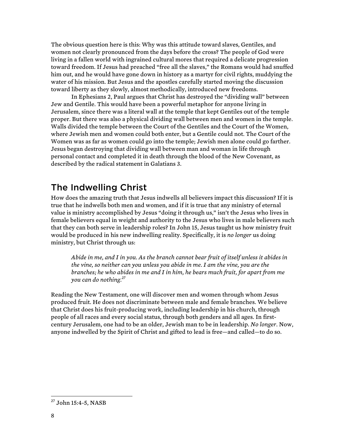The obvious question here is this: Why was this attitude toward slaves, Gentiles, and women not clearly pronounced from the days before the cross? The people of God were living in a fallen world with ingrained cultural mores that required a delicate progression toward freedom. If Jesus had preached "free all the slaves," the Romans would had snuffed him out, and he would have gone down in history as a martyr for civil rights, muddying the water of his mission. But Jesus and the apostles carefully started moving the discussion toward liberty as they slowly, almost methodically, introduced new freedoms.

In Ephesians 2, Paul argues that Christ has destroyed the "dividing wall" between Jew and Gentile. This would have been a powerful metaphor for anyone living in Jerusalem, since there was a literal wall at the temple that kept Gentiles out of the temple proper. But there was also a physical dividing wall between men and women in the temple. Walls divided the temple between the Court of the Gentiles and the Court of the Women, where Jewish men and women could both enter, but a Gentile could not. The Court of the Women was as far as women could go into the temple; Jewish men alone could go farther. Jesus began destroying that dividing wall between man and woman in life through personal contact and completed it in death through the blood of the New Covenant, as described by the radical statement in Galatians 3.

### The Indwelling Christ

How does the amazing truth that Jesus indwells all believers impact this discussion? If it is true that he indwells both men and women, and if it is true that any ministry of eternal value is ministry accomplished by Jesus "doing it through us," isn't the Jesus who lives in female believers equal in weight and authority to the Jesus who lives in male believers such that they can both serve in leadership roles? In John 15, Jesus taught us how ministry fruit would be produced in his new indwelling reality. Specifically, it is *no longer* us doing ministry, but Christ through us:

*Abide in me, and I in you. As the branch cannot bear fruit of itself unless it abides in the vine, so neither can you unless you abide in me. I am the vine, you are the branches; he who abides in me and I in him, he bears much fruit, for apart from me you can do nothing.<sup>27</sup>*

Reading the New Testament, one will discover men and women through whom Jesus produced fruit. He does not discriminate between male and female branches. We believe that Christ does his fruit-producing work, including leadership in his church, through people of all races and every social status, through both genders and all ages. In firstcentury Jerusalem, one had to be an older, Jewish man to be in leadership. *No longer*. Now, anyone indwelled by the Spirit of Christ and gifted to lead is free—and called—to do so.

 <sup>27</sup> John 15:4-5, NASB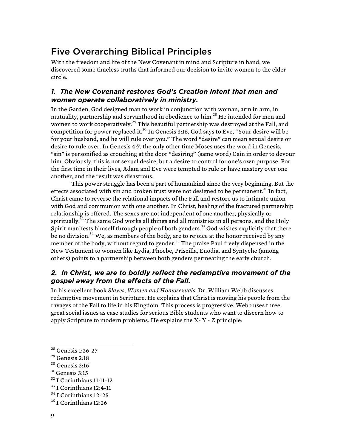# Five Overarching Biblical Principles

With the freedom and life of the New Covenant in mind and Scripture in hand, we discovered some timeless truths that informed our decision to invite women to the elder circle.

### *1. The New Covenant restores God's Creation intent that men and women operate collaboratively in ministry.*

In the Garden, God designed man to work in conjunction with woman, arm in arm, in mutuality, partnership and servanthood in obedience to him.<sup>28</sup> He intended for men and women to work cooperatively.<sup>29</sup> This beautiful partnership was destroyed at the Fall, and competition for power replaced it.30 In Genesis 3:16, God says to Eve, "Your desire will be for your husband, and he will rule over you." The word "desire" can mean sexual desire or desire to rule over. In Genesis 4:7, the only other time Moses uses the word in Genesis, "sin" is personified as crouching at the door "desiring" (same word) Cain in order to devour him. Obviously, this is not sexual desire, but a desire to control for one's own purpose. For the first time in their lives, Adam and Eve were tempted to rule or have mastery over one another, and the result was disastrous.

This power struggle has been a part of humankind since the very beginning. But the effects associated with sin and broken trust were not designed to be permanent.<sup>31</sup> In fact, Christ came to reverse the relational impacts of the Fall and restore us to intimate union with God and communion with one another. In Christ, healing of the fractured partnership relationship is offered. The sexes are not independent of one another, physically or spiritually.<sup>32</sup> The same God works all things and all ministries in all persons, and the Holy Spirit manifests himself through people of both genders.<sup>33</sup> God wishes explicitly that there be no division. $^{34}$  We, as members of the body, are to rejoice at the honor received by any member of the body, without regard to gender.<sup>35</sup> The praise Paul freely dispensed in the New Testament to women like Lydia, Phoebe, Priscilla, Euodia, and Syntyche (among others) points to a partnership between both genders permeating the early church.

### *2. In Christ, we are to boldly reflect the redemptive movement of the gospel away from the effects of the Fall.*

In his excellent book *Slaves, Women and Homosexuals,* Dr. William Webb discusses redemptive movement in Scripture. He explains that Christ is moving his people from the ravages of the Fall to life in his Kingdom. This process is progressive. Webb uses three great social issues as case studies for serious Bible students who want to discern how to apply Scripture to modern problems. He explains the X- Y - Z principle:

<sup>31</sup> Genesis 3:15

 <sup>28</sup> Genesis 1:26-27

 $^{29}$  Genesis 2:18<br> $^{30}$  Genesis 3:16

 $\frac{32}{31}$  I Corinthians 11:11-12<br> $\frac{33}{11}$  I Corinthians 12: 25

<sup>&</sup>lt;sup>35</sup> I Corinthians 12:26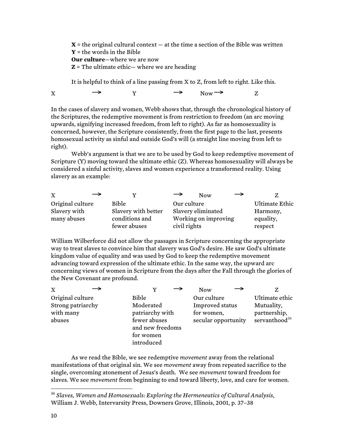$X =$  the original cultural context  $-$  at the time a section of the Bible was written **Y** = the words in the Bible **Our culture**—where we are now **Z** = The ultimate ethic— where we are heading

It is helpful to think of a line passing from X to Z, from left to right. Like this.

 $X \longrightarrow Y \longrightarrow Now \longrightarrow Z$ 

In the cases of slavery and women, Webb shows that, through the chronological history of the Scriptures, the redemptive movement is from restriction to freedom (an arc moving upwards, signifying increased freedom, from left to right). As far as homosexuality is concerned, however, the Scripture consistently, from the first page to the last, presents homosexual activity as sinful and outside God's will (a straight line moving from left to right).

Webb's argument is that we are to be used by God to keep redemptive movement of Scripture (Y) moving toward the ultimate ethic (Z). Whereas homosexuality will always be considered a sinful activity, slaves and women experience a transformed reality. Using slavery as an example:

| →<br>X           |                     | $\rightarrow$ | <b>Now</b>           |                |
|------------------|---------------------|---------------|----------------------|----------------|
| Original culture | <b>Bible</b>        | Our culture   |                      | Ultimate Ethic |
| Slavery with     | Slavery with better |               | Slavery eliminated   | Harmony,       |
| many abuses      | conditions and      |               | Working on improving | equality,      |
|                  | fewer abuses        | civil rights  |                      | respect        |

William Wilberforce did not allow the passages in Scripture concerning the appropriate way to treat slaves to convince him that slavery was God's desire. He saw God's ultimate kingdom value of equality and was used by God to keep the redemptive movement advancing toward expression of the ultimate ethic. In the same way, the upward arc concerning views of women in Scripture from the days after the Fall through the glories of the New Covenant are profound.

| $\mathbf{x}$                                                 |                                                                                                      | <b>Now</b>                                                          |                                                                           |
|--------------------------------------------------------------|------------------------------------------------------------------------------------------------------|---------------------------------------------------------------------|---------------------------------------------------------------------------|
| Original culture<br>Strong patriarchy<br>with many<br>abuses | Bible<br>Moderated<br>patriarchy with<br>fewer abuses<br>and new freedoms<br>for women<br>introduced | Our culture<br>Improved status<br>for women,<br>secular opportunity | Ultimate ethic<br>Mutuality,<br>partnership,<br>servanthood <sup>36</sup> |

As we read the Bible, we see redemptive *movement* away from the relational manifestations of that original sin. We see *movement* away from repeated sacrifice to the single, overcoming atonement of Jesus's death. We see *movement* toward freedom for slaves. We see *movement* from beginning to end toward liberty, love, and care for women.

 <sup>36</sup> *Slaves, Women and Homosexuals: Exploring the Hermeneutics of Cultural Analysis*, William J. Webb, Intervarsity Press, Downers Grove, Illinois, 2001, p. 37–38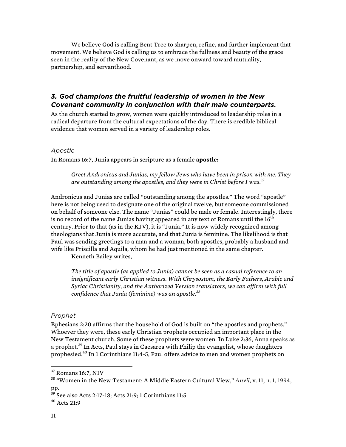We believe God is calling Bent Tree to sharpen, refine, and further implement that movement. We believe God is calling us to embrace the fullness and beauty of the grace seen in the reality of the New Covenant, as we move onward toward mutuality, partnership, and servanthood.

### *3. God champions the fruitful leadership of women in the New Covenant community in conjunction with their male counterparts.*

As the church started to grow, women were quickly introduced to leadership roles in a radical departure from the cultural expectations of the day. There is credible biblical evidence that women served in a variety of leadership roles.

#### *Apostle*

In Romans 16:7, Junia appears in scripture as a female **apostle:**

*Greet Andronicus and Junias, my fellow Jews who have been in prison with me. They are outstanding among the apostles, and they were in Christ before I was.37*

Andronicus and Junias are called "outstanding among the apostles." The word "apostle" here is not being used to designate one of the original twelve, but someone commissioned on behalf of someone else. The name "Junias" could be male or female. Interestingly, there is no record of the name Junias having appeared in any text of Romans until the  $16<sup>th</sup>$ century. Prior to that (as in the KJV), it is "Junia." It is now widely recognized among theologians that Junia is more accurate, and that Junia is feminine. The likelihood is that Paul was sending greetings to a man and a woman, both apostles, probably a husband and wife like Priscilla and Aquila, whom he had just mentioned in the same chapter.

Kenneth Bailey writes,

*The title of apostle (as applied to Junia) cannot be seen as a casual reference to an insignificant early Christian witness. With Chrysostom, the Early Fathers, Arabic and Syriac Christianity, and the Authorized Version translators, we can affirm with full confidence that Junia (feminine) was an apostle.<sup>38</sup>*

#### *Prophet*

Ephesians 2:20 affirms that the household of God is built on "the apostles and prophets." Whoever they were, these early Christian prophets occupied an important place in the New Testament church. Some of these prophets were women. In Luke 2:36, Anna speaks as a prophet.<sup>39</sup> In Acts, Paul stays in Caesarea with Philip the evangelist, whose daughters prophesied.<sup>40</sup> In 1 Corinthians 11:4-5, Paul offers advice to men and women prophets on

<sup>&</sup>lt;sup>37</sup> Romans 16:7, NIV

<sup>38</sup> "Women in the New Testament: A Middle Eastern Cultural View," *Anvil*, v. 11, n. 1, 1994, pp.

 $^{39}$  See also Acts 2:17-18; Acts 21:9; 1 Corinthians 11:5<br> $^{40}$  Acts 21:9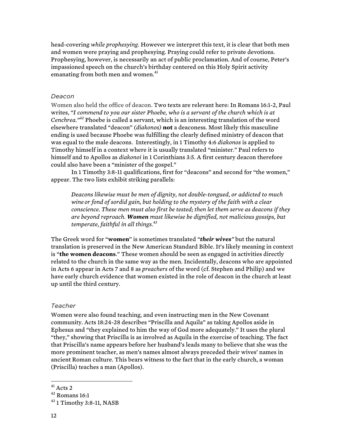head-covering *while prophesying*. However we interpret this text, it is clear that both men and women were praying and prophesying. Praying could refer to private devotions. Prophesying, however, is necessarily an act of public proclamation. And of course, Peter's impassioned speech on the church's birthday centered on this Holy Spirit activity emanating from both men and women.<sup>41</sup>

#### *Deacon*

Women also held the office of deacon. Two texts are relevant here: In Romans 16:1-2, Paul writes, *"I commend to you our sister Phoebe, who is a servant of the church which is at Cenchrea." <sup>42</sup>* Phoebe is called a servant, which is an interesting translation of the word elsewhere translated "deacon" *(diakonos)* **not** a deaconess. Most likely this masculine ending is used because Phoebe was fulfilling the clearly defined ministry of deacon that was equal to the male deacons. Interestingly, in 1 Timothy 4:6 *diakonos* is applied to Timothy himself in a context where it is usually translated "minister." Paul refers to himself and to Apollos as *diakonoi* in 1 Corinthians 3:5. A first century deacon therefore could also have been a "minister of the gospel."

In 1 Timothy 3:8-11 qualifications, first for "deacons" and second for "the women," appear. The two lists exhibit striking parallels:

*Deacons likewise must be men of dignity, not double-tongued, or addicted to much wine or fond of sordid gain, but holding to the mystery of the faith with a clear conscience. These men must also first be tested; then let them serve as deacons if they are beyond reproach. Women must likewise be dignified, not malicious gossips, but temperate, faithful in all things.<sup>43</sup>*

The Greek word for "**women**" is sometimes translated *"their wives"* but the natural translation is preserved in the New American Standard Bible. It's likely meaning in context is "**the women deacons**." These women should be seen as engaged in activities directly related to the church in the same way as the men. Incidentally, deacons who are appointed in Acts 6 appear in Acts 7 and 8 as *preachers* of the word (cf. Stephen and Philip) and we have early church evidence that women existed in the role of deacon in the church at least up until the third century.

#### *Teacher*

Women were also found teaching, and even instructing men in the New Covenant community. Acts 18:24-28 describes "Priscilla and Aquila" as taking Apollos aside in Ephesus and "they explained to him the way of God more adequately." It uses the plural "they," showing that Priscilla is as involved as Aquila in the exercise of teaching. The fact that Priscilla's name appears before her husband's leads many to believe that she was the more prominent teacher, as men's names almost always preceded their wives' names in ancient Roman culture. This bears witness to the fact that in the early church, a woman (Priscilla) teaches a man (Apollos).

 $^{41}$  Acts 2<br> $^{42}$  Romans 16:1

 $43$  1 Timothy 3:8-11, NASB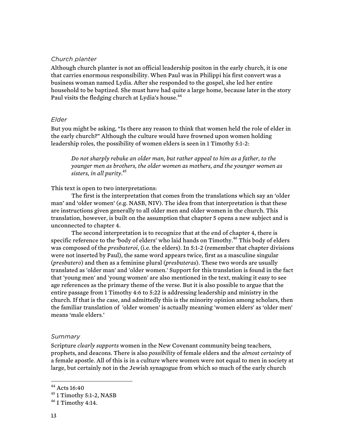#### *Church planter*

Although church planter is not an official leadership positon in the early church, it is one that carries enormous responsibility. When Paul was in Philippi his first convert was a business woman named Lydia. After she responded to the gospel, she led her entire household to be baptized. She must have had quite a large home, because later in the story Paul visits the fledging church at Lydia's house.<sup>44</sup>

#### *Elder*

But you might be asking, "Is there any reason to think that women held the role of elder in the early church?" Although the culture would have frowned upon women holding leadership roles, the possibility of women elders is seen in 1 Timothy 5:1-2:

*Do not sharply rebuke an older man, but rather appeal to him as a father, to the younger men as brothers, the older women as mothers, and the younger women as sisters, in all purity.45*

This text is open to two interpretations:

The first is the interpretation that comes from the translations which say an 'older man' and 'older women' (e.g. NASB, NIV). The idea from that interpretation is that these are instructions given generally to all older men and older women in the church. This translation, however, is built on the assumption that chapter 5 opens a new subject and is unconnected to chapter 4.

The second interpretation is to recognize that at the end of chapter 4, there is specific reference to the 'body of elders' who laid hands on Timothy.<sup>46</sup> This body of elders was composed of the *presbuteroi*, (i.e. the elders). In 5:1-2 (remember that chapter divisions were not inserted by Paul), the same word appears twice, first as a masculine singular (*presbutero*) and then as a feminine plural (*presbuteras*). These two words are usually translated as 'older man' and 'older women.' Support for this translation is found in the fact that 'young men' and 'young women' are also mentioned in the text, making it easy to see age references as the primary theme of the verse. But it is also possible to argue that the entire passage from 1 Timothy 4:6 to 5:22 is addressing leadership and ministry in the church. If that is the case, and admittedly this is the minority opinion among scholars, then the familiar translation of 'older women' is actually meaning 'women elders' as 'older men' means 'male elders.'

#### *Summary*

Scripture *clearly supports* women in the New Covenant community being teachers, prophets, and deacons. There is also *possibility* of female elders and the *almost certainty* of a female apostle. All of this is in a culture where women were not equal to men in society at large, but certainly not in the Jewish synagogue from which so much of the early church

 <sup>44</sup> Acts 16:40

<sup>45</sup> 1 Timothy 5:1-2, NASB

 $46$  I Timothy 4:14.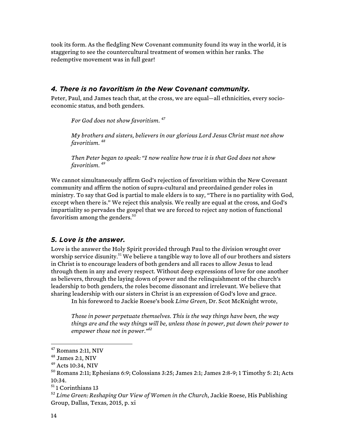took its form. As the fledgling New Covenant community found its way in the world, it is staggering to see the countercultural treatment of women within her ranks. The redemptive movement was in full gear!

#### *4. There is no favoritism in the New Covenant community.*

Peter, Paul, and James teach that, at the cross, we are equal—all ethnicities, every socioeconomic status, and both genders.

*For God does not show favoritism. <sup>47</sup>*

*My brothers and sisters, believers in our glorious Lord Jesus Christ must not show favoritism. <sup>48</sup>*

*Then Peter began to speak: "I now realize how true it is that God does not show favoritism. 49*

We cannot simultaneously affirm God's rejection of favoritism within the New Covenant community and affirm the notion of supra-cultural and preordained gender roles in ministry. To say that God is partial to male elders is to say, "There is no partiality with God, except when there is." We reject this analysis. We really are equal at the cross, and God's impartiality so pervades the gospel that we are forced to reject any notion of functional favoritism among the genders. $50$ 

### *5. Love is the answer.*

Love is the answer the Holy Spirit provided through Paul to the division wrought over worship service disunity.<sup>51</sup> We believe a tangible way to love all of our brothers and sisters in Christ is to encourage leaders of both genders and all races to allow Jesus to lead through them in any and every respect. Without deep expressions of love for one another as believers, through the laying down of power and the relinquishment of the church's leadership to both genders, the roles become dissonant and irrelevant. We believe that sharing leadership with our sisters in Christ is an expression of God's love and grace.

In his foreword to Jackie Roese's book *Lime Green*, Dr. Scot McKnight wrote,

*Those in power perpetuate themselves. This is the way things have been, the way things are and the way things will be, unless those in power, put down their power to empower those not in power."<sup>52</sup>*

 $47$  Romans 2:11, NIV

 $^{48}$  James 2:1, NIV

 $49$  Acts 10:34, NIV

<sup>50</sup> Romans 2:11; Ephesians 6:9; Colossians 3:25; James 2:1; James 2:8-9; 1 Timothy 5: 21; Acts 10:34.

<sup>&</sup>lt;sup>51</sup> 1 Corinthians 13

<sup>52</sup> *Lime Green: Reshaping Our View of Women in the Church*, Jackie Roese, His Publishing Group, Dallas, Texas, 2015, p. xi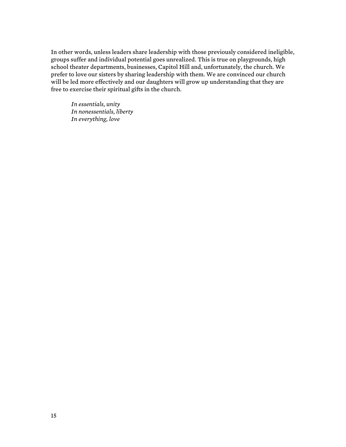In other words, unless leaders share leadership with those previously considered ineligible, groups suffer and individual potential goes unrealized. This is true on playgrounds, high school theater departments, businesses, Capitol Hill and, unfortunately, the church. We prefer to love our sisters by sharing leadership with them. We are convinced our church will be led more effectively and our daughters will grow up understanding that they are free to exercise their spiritual gifts in the church.

*In essentials, unity In nonessentials, liberty In everything, love*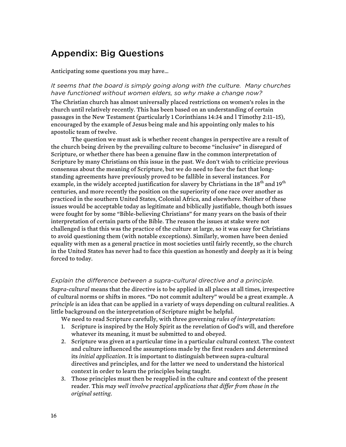# Appendix: Big Questions

Anticipating some questions you may have…

#### *It seems that the board is simply going along with the culture. Many churches have functioned without women elders, so why make a change now?*

The Christian church has almost universally placed restrictions on women's roles in the church until relatively recently. This has been based on an understanding of certain passages in the New Testament (particularly 1 Corinthians 14:34 and l Timothy 2:11–15), encouraged by the example of Jesus being male and his appointing only males to his apostolic team of twelve.

The question we must ask is whether recent changes in perspective are a result of the church being driven by the prevailing culture to become "inclusive" in disregard of Scripture, or whether there has been a genuine flaw in the common interpretation of Scripture by many Christians on this issue in the past. We don't wish to criticize previous consensus about the meaning of Scripture, but we do need to face the fact that longstanding agreements have previously proved to be fallible in several instances. For example, in the widely accepted justification for slavery by Christians in the 18<sup>th</sup> and 19<sup>th</sup> centuries, and more recently the position on the superiority of one race over another as practiced in the southern United States, Colonial Africa, and elsewhere. Neither of these issues would be acceptable today as legitimate and biblically justifiable, though both issues were fought for by some "Bible-believing Christians" for many years on the basis of their interpretation of certain parts of the Bible. The reason the issues at stake were not challenged is that this was the practice of the culture at large, so it was easy for Christians to avoid questioning them (with notable exceptions). Similarly, women have been denied equality with men as a general practice in most societies until fairly recently, so the church in the United States has never had to face this question as honestly and deeply as it is being forced to today.

#### *Explain the difference between a supra-cultural directive and a principle.*

*Supra-cultural* means that the directive is to be applied in all places at all times, irrespective of cultural norms or shifts in mores. "Do not commit adultery" would be a great example. A *principle* is an idea that can be applied in a variety of ways depending on cultural realities. A little background on the interpretation of Scripture might be helpful.

We need to read Scripture carefully, with three governing *rules of interpretation*:

- 1. Scripture is inspired by the Holy Spirit as the revelation of God's will, and therefore whatever its meaning, it must be submitted to and obeyed.
- 2. Scripture was given at a particular time in a particular cultural context. The context and culture influenced the assumptions made by the first readers and determined its *initial application*. It is important to distinguish between supra-cultural directives and principles, and for the latter we need to understand the historical context in order to learn the principles being taught.
- 3. Those principles must then be reapplied in the culture and context of the present reader. This *may well involve practical applications that differ from those in the original setting.*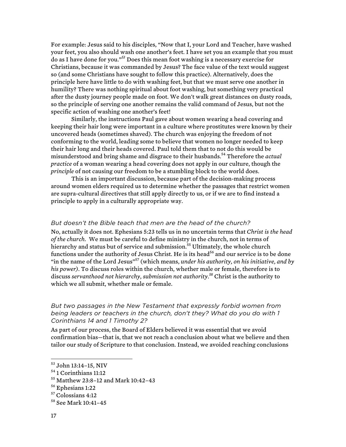For example: Jesus said to his disciples, "Now that I, your Lord and Teacher, have washed your feet, you also should wash one another's feet. I have set you an example that you must do as I have done for you." *<sup>53</sup>* Does this mean foot washing is a necessary exercise for Christians, because it was commanded by Jesus? The face value of the text would suggest so (and some Christians have sought to follow this practice). Alternatively, does the principle here have little to do with washing feet, but that we must serve one another in humility? There was nothing spiritual about foot washing, but something very practical after the dusty journey people made on foot. We don't walk great distances on dusty roads, so the principle of serving one another remains the valid command of Jesus, but not the specific action of washing one another's feet!

Similarly, the instructions Paul gave about women wearing a head covering and keeping their hair long were important in a culture where prostitutes were known by their uncovered heads (sometimes shaved). The church was enjoying the freedom of not conforming to the world, leading some to believe that women no longer needed to keep their hair long and their heads covered. Paul told them that to not do this would be misunderstood and bring shame and disgrace to their husbands.<sup>54</sup> Therefore the *actual practice* of a woman wearing a head covering does not apply in our culture, though the *principle* of not causing our freedom to be a stumbling block to the world does.

This is an important discussion, because part of the decision-making process around women elders required us to determine whether the passages that restrict women are supra-cultural directives that still apply directly to us, or if we are to find instead a principle to apply in a culturally appropriate way.

#### *But doesn't the Bible teach that men are the head of the church?*

No, actually it does not. Ephesians 5:23 tells us in no uncertain terms that *Christ is the head of the church.* We must be careful to define ministry in the church, not in terms of hierarchy and status but of service and submission.<sup>55</sup> Ultimately, the whole church functions under the authority of Jesus Christ. He is its head<sup>56</sup> and our service is to be done "in the name of the Lord Jesus"<sup>57</sup> (which means, *under his authority, on his initiative, and by his power)*. To discuss roles within the church, whether male or female, therefore is to discuss *servanthood not hierarchy*, *submission not authority. <sup>58</sup>* Christ is the authority to which we all submit, whether male or female.

#### *But two passages in the New Testament that expressly forbid women from being leaders or teachers in the church, don't they? What do you do with 1 Corinthians 14 and 1 Timothy 2?*

As part of our process, the Board of Elders believed it was essential that we avoid confirmation bias—that is, that we not reach a conclusion about what we believe and then tailor our study of Scripture to that conclusion. Instead, we avoided reaching conclusions

 <sup>53</sup> John 13:14–15, NIV

<sup>54</sup> 1 Corinthians 11:12

<sup>55</sup> Matthew 23:8–12 and Mark 10:42–43

<sup>56</sup> Ephesians 1:22

<sup>&</sup>lt;sup>57</sup> Colossians 4:12

<sup>58</sup> See Mark 10:41–45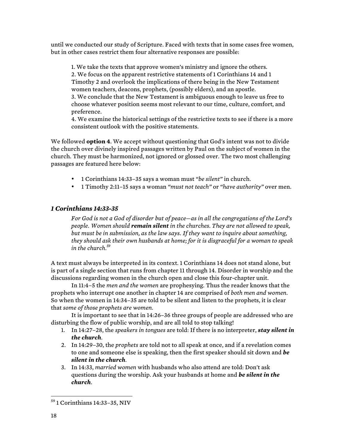until we conducted our study of Scripture. Faced with texts that in some cases free women, but in other cases restrict them four alternative responses are possible:

1. We take the texts that approve women's ministry and ignore the others. 2. We focus on the apparent restrictive statements of 1 Corinthians 14 and 1 Timothy 2 and overlook the implications of there being in the New Testament women teachers, deacons, prophets, (possibly elders), and an apostle. 3. We conclude that the New Testament is ambiguous enough to leave us free to choose whatever position seems most relevant to our time, culture, comfort, and preference.

4. We examine the historical settings of the restrictive texts to see if there is a more consistent outlook with the positive statements.

We followed **option 4**. We accept without questioning that God's intent was not to divide the church over divinely inspired passages written by Paul on the subject of women in the church. They must be harmonized, not ignored or glossed over. The two most challenging passages are featured here below:

- 1 Corinthians 14:33–35 says a woman must *"be silent"* in church.
- 1 Timothy 2:11–15 says a woman *"must not teach"* or *"have authority"* over men.

### *1 Corinthians 14:33-35*

*For God is not a God of disorder but of peace—as in all the congregations of the Lord's people. Women should remain silent in the churches. They are not allowed to speak, but must be in submission, as the law says. If they want to inquire about something, they should ask their own husbands at home; for it is disgraceful for a woman to speak in the church.<sup>59</sup>*

A text must always be interpreted in its context. 1 Corinthians 14 does not stand alone, but is part of a single section that runs from chapter 11 through 14. Disorder in worship and the discussions regarding women in the church open and close this four-chapter unit.

In 11:4–5 the *men and the women* are prophesying. Thus the reader knows that the prophets who interrupt one another in chapter 14 are comprised of *both men and women*. So when the women in 14:34–35 are told to be silent and listen to the prophets, it is clear that *some of those prophets are women.*

It is important to see that in 14:26–36 three groups of people are addressed who are disturbing the flow of public worship, and are all told to stop talking!

- 1. In 14:27–28, the *speakers in tongues* are told: If there is no interpreter, *stay silent in the church*.
- 2. In 14:29–30, the *prophets* are told not to all speak at once, and if a revelation comes to one and someone else is speaking, then the first speaker should sit down and *be silent in the church*.
- 3. In 14:33, *married women* with husbands who also attend are told: Don't ask questions during the worship. Ask your husbands at home and *be silent in the church*.

 <sup>59</sup> 1 Corinthians 14:33–35, NIV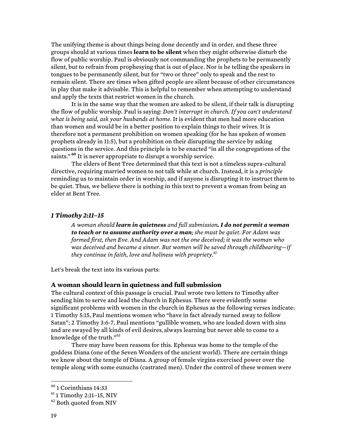The unifying theme is about things being done decently and in order, and these three groups should at various times **learn to be silent** when they might otherwise disturb the flow of public worship. Paul is obviously not commanding the prophets to be permanently silent, but to refrain from prophesying that is out of place. Nor is he telling the speakers in tongues to be permanently silent, but for "two or three" only to speak and the rest to remain silent. There are times when gifted people are silent because of other circumstances in play that make it advisable. This is helpful to remember when attempting to understand and apply the texts that restrict women in the church.

It is in the same way that the women are asked to be silent, if their talk is disrupting the flow of public worship. Paul is saying: *Don't interrupt in church. If you can't understand what is being said, ask your husbands at home*. It is evident that men had more education than women and would be in a better position to explain things to their wives. It is therefore not a permanent prohibition on women speaking (for he has spoken of women prophets already in 11:5), but a prohibition on their disrupting the service by asking questions in the service. And this principle is to be enacted "in all the congregations of the saints." **<sup>60</sup>** It is never appropriate to disrupt a worship service.

The elders of Bent Tree determined that this text is not a timeless supra-cultural directive, requiring married women to not talk while at church. Instead, it is a *principle* reminding us to maintain order in worship, and if anyone is disrupting it to instruct them to be quiet. Thus, we believe there is nothing in this text to prevent a woman from being an elder at Bent Tree.

#### *1 Timothy 2:11–15*

*A woman should learn in quietness and full submission. I do not permit a woman to teach or to assume authority over a man; she must be quiet. For Adam was formed first, then Eve. And Adam was not the one deceived; it was the woman who was deceived and became a sinner. But women will be saved through childbearing—if they continue in faith, love and holiness with propriety.61*

Let's break the text into its various parts:

#### **A woman should learn in quietness and full submission**

The cultural context of this passage is crucial. Paul wrote two letters to Timothy after sending him to serve and lead the church in Ephesus. There were evidently some significant problems with women in the church in Ephesus as the following verses indicate: 1 Timothy 5:15, Paul mentions women who "have in fact already turned away to follow Satan"; 2 Timothy 3:6-7, Paul mentions "gullible women, who are loaded down with sins and are swayed by all kinds of evil desires, always learning but never able to come to a knowledge of the truth." 62

There may have been reasons for this. Ephesus was home to the temple of the goddess Diana (one of the Seven Wonders of the ancient world). There are certain things we know about the temple of Diana. A group of female virgins exercised power over the temple along with some eunuchs (castrated men). Under the control of these women were

 $60$  1 Corinthians 14:33

 $61$  1 Timothy 2:11-15, NIV

<sup>&</sup>lt;sup>62</sup> Both quoted from NIV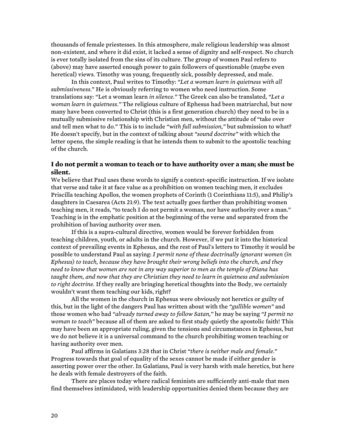thousands of female priestesses. In this atmosphere, male religious leadership was almost non-existent, and where it did exist, it lacked a sense of dignity and self-respect. No church is ever totally isolated from the sins of its culture. The group of women Paul refers to (above) may have asserted enough power to gain followers of questionable (maybe even heretical) views. Timothy was young, frequently sick, possibly depressed, and male.

In this context, Paul writes to Timothy: *"Let a woman learn in quietness with all submissiveness.*" He is obviously referring to women who need instruction. Some translations say: "Let a woman learn *in silence."* The Greek can also be translated, *"Let a woman learn in quietness."* The religious culture of Ephesus had been matriarchal, but now many have been converted to Christ (this is a first generation church) they need to be in a mutually submissive relationship with Christian men, without the attitude of "take over and tell men what to do*.*" This is to include *"with full submission,"* but submission to what? He doesn't specify, but in the context of talking about *"sound doctrine"* with which the letter opens, the simple reading is that he intends them to submit to the apostolic teaching of the church.

### **I do not permit a woman to teach or to have authority over a man; she must be silent.**

We believe that Paul uses these words to signify a context-specific instruction. If we isolate that verse and take it at face value as a prohibition on women teaching men, it excludes Priscilla teaching Apollos, the women prophets of Corinth (1 Corinthians 11:5), and Philip's daughters in Caesarea (Acts 21:9). The text actually goes farther than prohibiting women teaching men, it reads, "to teach I do not permit a woman, nor have authority over a man." Teaching is in the emphatic position at the beginning of the verse and separated from the prohibition of having authority over men.

If this is a supra-cultural directive, women would be forever forbidden from teaching children, youth, or adults in the church. However, if we put it into the historical context of prevailing events in Ephesus, and the rest of Paul's letters to Timothy it would be possible to understand Paul as saying: *I permit none of these doctrinally ignorant women (in Ephesus) to teach, because they have brought their wrong beliefs into the church, and they need to know that women are not in any way superior to men as the temple of Diana has taught them, and now that they are Christian they need to learn in quietness and submission to right doctrine.* If they really are bringing heretical thoughts into the Body, we certainly wouldn't want them teaching our kids, right?

All the women in the church in Ephesus were obviously not heretics or guilty of this, but in the light of the dangers Paul has written about with the *"gullible women"* and those women who had *"already turned away to follow Satan,"* he may be saying *"I permit no woman to teach"* because all of them are asked to first study quietly the apostolic faith! This may have been an appropriate ruling, given the tensions and circumstances in Ephesus, but we do not believe it is a universal command to the church prohibiting women teaching or having authority over men.

Paul affirms in Galatians 3:28 that in Christ *"there is neither male and female*." Progress towards that goal of equality of the sexes cannot be made if either gender is asserting power over the other. In Galatians, Paul is very harsh with male heretics, but here he deals with female destroyers of the faith.

There are places today where radical feminists are sufficiently anti-male that men find themselves intimidated, with leadership opportunities denied them because they are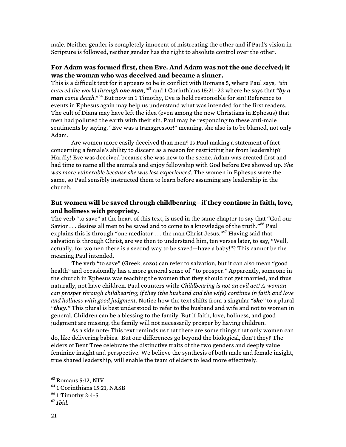male. Neither gender is completely innocent of mistreating the other and if Paul's vision in Scripture is followed, neither gender has the right to absolute control over the other.

#### **For Adam was formed first, then Eve. And Adam was not the one deceived; it was the woman who was deceived and became a sinner.**

This is a difficult text for it appears to be in conflict with Romans 5, where Paul says, *"sin entered the world through one man," <sup>63</sup>* and 1 Corinthians 15:21–22 where he says that *"by a man came death*." <sup>64</sup> But now in 1 Timothy, Eve is held responsible for sin! Reference to events in Ephesus again may help us understand what was intended for the first readers. The cult of Diana may have left the idea (even among the new Christians in Ephesus) that men had polluted the earth with their sin. Paul may be responding to these anti-male sentiments by saying, "Eve was a transgressor!" meaning, she also is to be blamed, not only Adam.

Are women more easily deceived than men? Is Paul making a statement of fact concerning a female's ability to discern as a reason for restricting her from leadership? Hardly! Eve was deceived because she was new to the scene. Adam was created first and had time to name all the animals and enjoy fellowship with God before Eve showed up. *She was more vulnerable because she was less experienced.* The women in Ephesus were the same, so Paul sensibly instructed them to learn before assuming any leadership in the church.

### **But women will be saved through childbearing—if they continue in faith, love, and holiness with propriety.**

The verb "to save" at the heart of this text, is used in the same chapter to say that "God our Savior . . . desires all men to be saved and to come to a knowledge of the truth."<sup>66</sup> Paul explains this is through "one mediator . . . the man Christ Jesus."<sup>67</sup> Having said that salvation is through Christ, are we then to understand him, ten verses later, to say, "Well, actually, for women there is a second way to be saved—have a baby!"? This cannot be the meaning Paul intended.

The verb "to save" (Greek, sozo) can refer to salvation, but it can also mean "good health" and occasionally has a more general sense of "to prosper." Apparently, someone in the church in Ephesus was teaching the women that they should not get married, and thus naturally, not have children. Paul counters with: *Childbearing is not an evil act! A woman can prosper through childbearing; if they (the husband and the wife) continue in faith and love and holiness with good judgment.* Notice how the text shifts from a singular *"she"* to a plural *"they."* This plural is best understood to refer to the husband and wife and not to women in general. Children can be a blessing to the family. But if faith, love, holiness, and good judgment are missing, the family will not necessarily prosper by having children.

As a side note: This text reminds us that there are some things that only women can do, like delivering babies. But our differences go beyond the biological, don't they? The elders of Bent Tree celebrate the distinctive traits of the two genders and deeply value feminine insight and perspective. We believe the synthesis of both male and female insight, true shared leadership, will enable the team of elders to lead more effectively.

 $63$  Romans 5:12, NIV

<sup>64</sup> 1 Corinthians 15:21, NASB

 $66$  1 Timothy 2:4-5

<sup>67</sup> *Ibid.*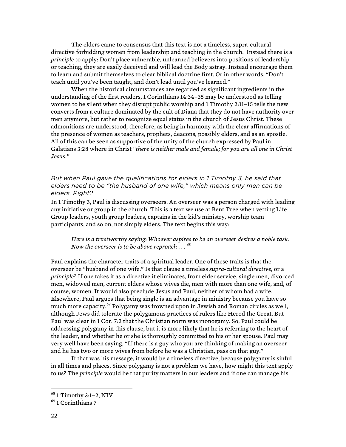The elders came to consensus that this text is not a timeless, supra-cultural directive forbidding women from leadership and teaching in the church. Instead there is a *principle* to apply: Don't place vulnerable, unlearned believers into positions of leadership or teaching, they are easily deceived and will lead the Body astray. Instead encourage them to learn and submit themselves to clear biblical doctrine first. Or in other words, "Don't teach until you've been taught, and don't lead until you've learned."

When the historical circumstances are regarded as significant ingredients in the understanding of the first readers, 1 Corinthians 14:34–35 may be understood as telling women to be silent when they disrupt public worship and 1 Timothy 2:11–15 tells the new converts from a culture dominated by the cult of Diana that they do not have authority over men anymore, but rather to recognize equal status in the church of Jesus Christ. These admonitions are understood, therefore, as being in harmony with the clear affirmations of the presence of women as teachers, prophets, deacons, possibly elders, and as an apostle. All of this can be seen as supportive of the unity of the church expressed by Paul in Galatians 3:28 where in Christ *"there is neither male and female; for you are all one in Christ Jesus."*

#### *But when Paul gave the qualifications for elders in 1 Timothy 3, he said that elders need to be "the husband of one wife," which means only men can be elders. Right?*

In 1 Timothy 3, Paul is discussing overseers. An overseer was a person charged with leading any initiative or group in the church. This is a text we use at Bent Tree when vetting Life Group leaders, youth group leaders, captains in the kid's ministry, worship team participants, and so on, not simply elders. The text begins this way:

*Here is a trustworthy saying: Whoever aspires to be an overseer desires a noble task. Now the overseer is to be above reproach . . . <sup>68</sup>*

Paul explains the character traits of a spiritual leader. One of these traits is that the overseer be "husband of one wife." Is that clause a timeless *supra-cultural directive*, or a *principle*? If one takes it as a directive it eliminates, from elder service, single men, divorced men, widowed men, current elders whose wives die, men with more than one wife, and, of course, women. It would also preclude Jesus and Paul, neither of whom had a wife. Elsewhere, Paul argues that being single is an advantage in ministry because you have so much more capacity.<sup>69</sup> Polygamy was frowned upon in Jewish and Roman circles as well, although Jews did tolerate the polygamous practices of rulers like Herod the Great. But Paul was clear in 1 Cor. 7:2 that the Christian norm was monogamy. So, Paul could be addressing polygamy in this clause, but it is more likely that he is referring to the heart of the leader, and whether he or she is thoroughly committed to his or her spouse. Paul may very well have been saying, "If there is a guy who you are thinking of making an overseer and he has two or more wives from before he was a Christian, pass on that guy."

If that was his message, it would be a timeless directive, because polygamy is sinful in all times and places. Since polygamy is not a problem we have, how might this text apply to us? The *principle* would be that purity matters in our leaders and if one can manage his

 <sup>68</sup> 1 Timothy 3:1–2, NIV

 $69$  1 Corinthians 7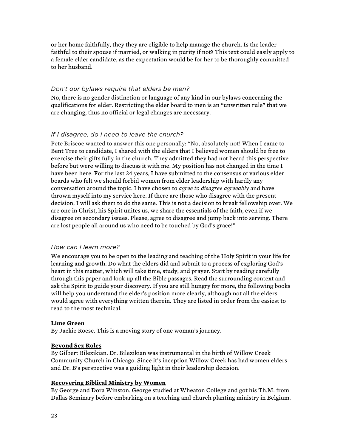or her home faithfully, they they are eligible to help manage the church. Is the leader faithful to their spouse if married, or walking in purity if not? This text could easily apply to a female elder candidate, as the expectation would be for her to be thoroughly committed to her husband.

#### *Don't our bylaws require that elders be men?*

No, there is no gender distinction or language of any kind in our bylaws concerning the qualifications for elder. Restricting the elder board to men is an "unwritten rule" that we are changing, thus no official or legal changes are necessary.

### *If I disagree, do I need to leave the church?*

Pete Briscoe wanted to answer this one personally: "No, absolutely not! When I came to Bent Tree to candidate, I shared with the elders that I believed women should be free to exercise their gifts fully in the church. They admitted they had not heard this perspective before but were willing to discuss it with me. My position has not changed in the time I have been here. For the last 24 years, I have submitted to the consensus of various elder boards who felt we should forbid women from elder leadership with hardly any conversation around the topic. I have chosen to *agree to disagree agreeably* and have thrown myself into my service here. If there are those who disagree with the present decision, I will ask them to do the same. This is not a decision to break fellowship over. We are one in Christ, his Spirit unites us, we share the essentials of the faith, even if we disagree on secondary issues. Please, agree to disagree and jump back into serving. There are lost people all around us who need to be touched by God's grace!"

#### *How can I learn more?*

We encourage you to be open to the leading and teaching of the Holy Spirit in your life for learning and growth. Do what the elders did and submit to a process of exploring God's heart in this matter, which will take time, study, and prayer. Start by reading carefully through this paper and look up all the Bible passages. Read the surrounding context and ask the Spirit to guide your discovery. If you are still hungry for more, the following books will help you understand the elder's position more clearly, although not all the elders would agree with everything written therein. They are listed in order from the easiest to read to the most technical.

#### **Lime Green**

By Jackie Roese. This is a moving story of one woman's journey.

#### **Beyond Sex Roles**

By Gilbert Bilezikian. Dr. Bilezikian was instrumental in the birth of Willow Creek Community Church in Chicago. Since it's inception Willow Creek has had women elders and Dr. B's perspective was a guiding light in their leadership decision.

#### **Recovering Biblical Ministry by Women**

By George and Dora Winston. George studied at Wheaton College and got his Th.M. from Dallas Seminary before embarking on a teaching and church planting ministry in Belgium.